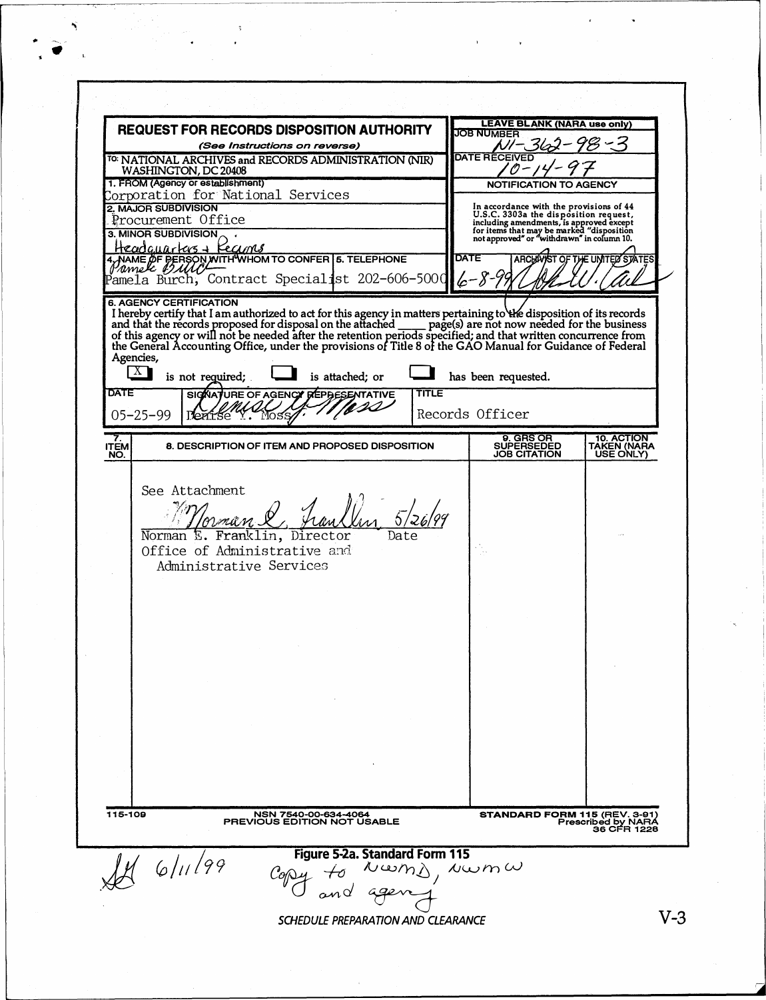|                                                                | <b>REQUEST FOR RECORDS DISPOSITION AUTHORITY</b>                                                                                                                                                                                                                                                                                                                                                                                                                                                                                                                               |              | <b>LEAVE BLANK (NARA use only)</b>                                                                                                                                                                     |                                        |
|----------------------------------------------------------------|--------------------------------------------------------------------------------------------------------------------------------------------------------------------------------------------------------------------------------------------------------------------------------------------------------------------------------------------------------------------------------------------------------------------------------------------------------------------------------------------------------------------------------------------------------------------------------|--------------|--------------------------------------------------------------------------------------------------------------------------------------------------------------------------------------------------------|----------------------------------------|
| (See Instructions on reverse)                                  |                                                                                                                                                                                                                                                                                                                                                                                                                                                                                                                                                                                |              | <b>JOB NUMBER</b>                                                                                                                                                                                      |                                        |
|                                                                | <sup>TO:</sup> NATIONAL ARCHIVES and RECORDS ADMINISTRATION (NIR)                                                                                                                                                                                                                                                                                                                                                                                                                                                                                                              |              | <b>DATE RECEIVED</b>                                                                                                                                                                                   |                                        |
| WASHINGTON, DC 20408<br>1. FROM (Agency or establishment)      |                                                                                                                                                                                                                                                                                                                                                                                                                                                                                                                                                                                |              |                                                                                                                                                                                                        |                                        |
|                                                                | Corporation for National Services                                                                                                                                                                                                                                                                                                                                                                                                                                                                                                                                              |              | NOTIFICATION TO AGENCY                                                                                                                                                                                 |                                        |
| 2. MAJOR SUBDIVISION                                           |                                                                                                                                                                                                                                                                                                                                                                                                                                                                                                                                                                                |              | In accordance with the provisions of 44                                                                                                                                                                |                                        |
|                                                                | Procurement Office                                                                                                                                                                                                                                                                                                                                                                                                                                                                                                                                                             |              | In a coordinate with the provisions of the disposition request,<br>including amendments, is approved except<br>for items that may be marked "disposition<br>not approved" or "withdrawn" in column 10. |                                        |
| 3. MINOR SUBDIVISION                                           | Headquarters + Keams                                                                                                                                                                                                                                                                                                                                                                                                                                                                                                                                                           |              |                                                                                                                                                                                                        |                                        |
|                                                                | 4, NAME OF PERSON WITH WHOM TO CONFER 5. TELEPHONE                                                                                                                                                                                                                                                                                                                                                                                                                                                                                                                             |              | <b>DATE</b><br><b>ARCHAVIST</b>                                                                                                                                                                        | THE UNITED STATES                      |
|                                                                | Pamela Burch, Contract Specialist 202-606-5000                                                                                                                                                                                                                                                                                                                                                                                                                                                                                                                                 |              | $6 - 8 - 9$                                                                                                                                                                                            |                                        |
| Agencies,<br>Λ<br><b>DATE</b><br>$05 - 25 - 99$                | <b>6. AGENCY CERTIFICATION</b><br>I hereby certify that I am authorized to act for this agency in matters pertaining to the disposition of its records<br>and that the records proposed for disposal on the attached ___ page(s) are not now needed for the business<br>of this agency or will not be needed after the retention periods specified; and that written concurrence from<br>the General Accounting Office, under the provisions of Title 8 of the GAO Manual for Guidance of Federal<br>is not required;<br>is attached; or<br>SIGNATURE OF AGENCY REPBESENTATIVE | <b>TITLE</b> | has been requested.<br>Records Officer                                                                                                                                                                 |                                        |
|                                                                |                                                                                                                                                                                                                                                                                                                                                                                                                                                                                                                                                                                |              |                                                                                                                                                                                                        |                                        |
| ITEM<br>NO.                                                    | 8. DESCRIPTION OF ITEM AND PROPOSED DISPOSITION                                                                                                                                                                                                                                                                                                                                                                                                                                                                                                                                |              | 9. GRS OR<br><b>SUPERSEDED</b><br><b>JOB CITATION</b>                                                                                                                                                  | 10. ACTION<br>TAKEN (NAHA<br>USE ONLY) |
|                                                                | Franklin, Director<br>Norman E.<br>Office of Administrative and<br>Administrative Services                                                                                                                                                                                                                                                                                                                                                                                                                                                                                     |              |                                                                                                                                                                                                        |                                        |
|                                                                |                                                                                                                                                                                                                                                                                                                                                                                                                                                                                                                                                                                |              |                                                                                                                                                                                                        |                                        |
|                                                                |                                                                                                                                                                                                                                                                                                                                                                                                                                                                                                                                                                                |              |                                                                                                                                                                                                        |                                        |
| 115-109<br>NSN 7540-00-634-4064<br>PREVIOUS EDITION NOT USABLE |                                                                                                                                                                                                                                                                                                                                                                                                                                                                                                                                                                                |              | <b>STANDARD FORM 115 (REV. 3-91)</b><br>Prescribed by NARA<br>36 CFR 1228                                                                                                                              |                                        |
|                                                                | Figure 5-2a. Standard Form 115<br>461199<br>Nwm $\lambda$ , Nwm $\,\omega$                                                                                                                                                                                                                                                                                                                                                                                                                                                                                                     |              |                                                                                                                                                                                                        |                                        |

 $V-3$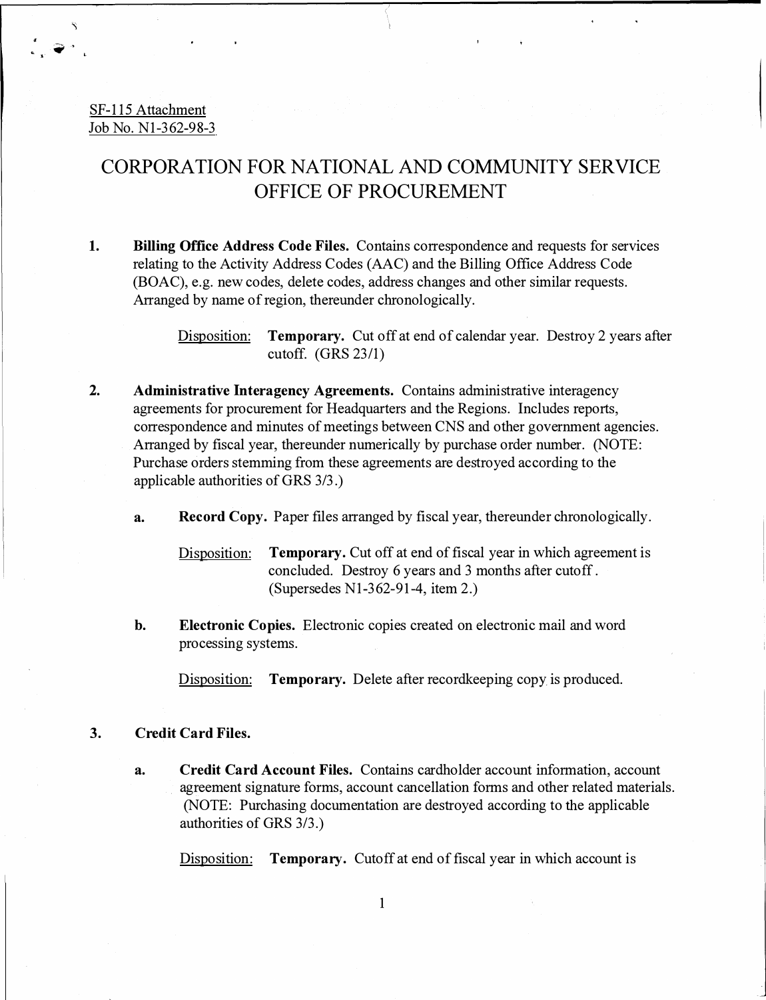#### SF-115 Attachment Job No. Nl-362-98-3

## CORPORATION FOR NATIONAL AND COMMUNITY SERVICE OFFICE OF PROCUREMENT

**1. Billing Office Address Code Files.** Contains correspondence and requests for services relating to the Activity Address Codes (AAC) and the Billing Office Address Code (BOAC), e.g. new codes, delete codes, address changes and other similar requests. Arranged by name of region, thereunder chronologically.

> Disposition: **Temporary.** Cut off at end of calendar year. Destroy 2 years after cutoff. (GRS 23/1)

- **2. Administrative Interagency Agreements.** Contains administrative interagency agreements for procurement for Headquarters and the Regions. Includes reports, correspondence and minutes of meetings between CNS and other government agencies. Arranged by fiscal year, thereunder numerically by purchase order number. (NOTE: Purchase orders stemming from these agreements are destroyed according to the applicable authorities of GRS 3/3.)
	- **a. Record Copy.** Paper files arranged by fiscal year, thereunder chronologically.

Disposition: **Temporary.** Cut off at end of fiscal year in which agreement is concluded. Destroy 6 years and 3 months after cutoff . (Supersedes Nl-362-91-4, item 2.)

**b. Electronic Copies.** Electronic copies created on electronic mail and word processing systems.

Disposition: **Temporary.** Delete after recordkeeping copy is produced.

#### **3. Credit Card Files.**

**a. Credit Card Account Files.** Contains cardholder account information, account agreement signature forms, account cancellation forms and other related materials. (NOTE: Purchasing documentation are destroyed according to the applicable authorities of GRS 3/3.)

Disposition: **Temporary.** Cutoff at end of fiscal year in which account is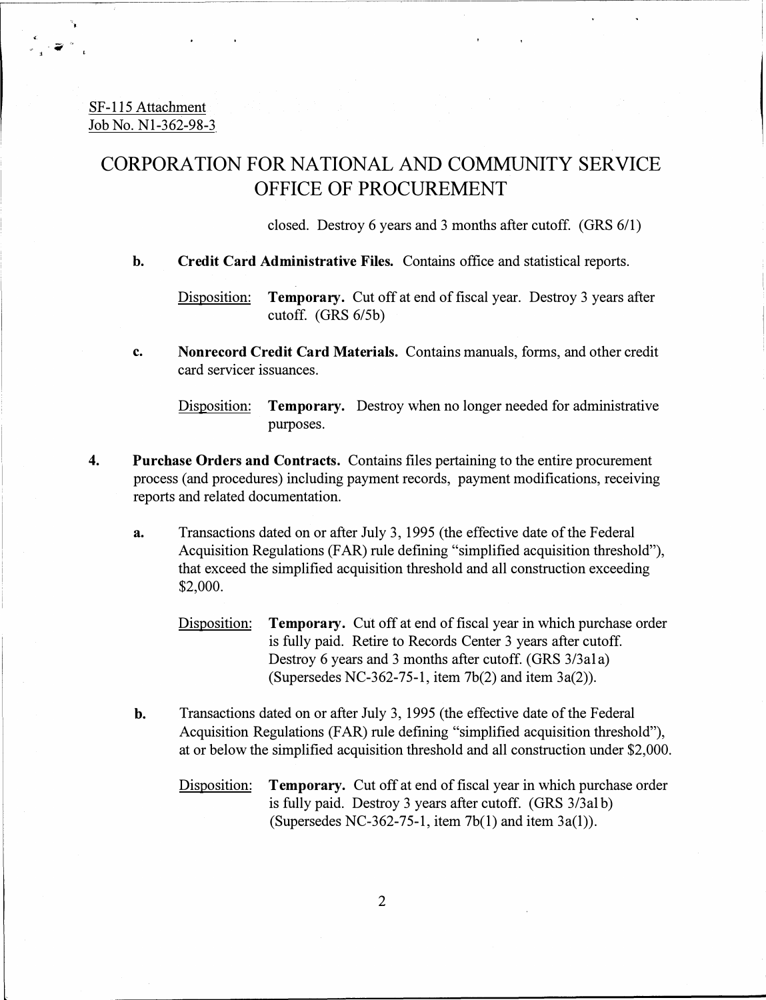SF-115 Attachment Job No. Nl-362-98-3

### CORPORATION FOR NATIONAL AND COMMUNITY SERVICE OFFICE OF PROCUREMENT

closed. Destroy 6 years and 3 months after cutoff. (GRS 6/1)

**b. Credit Card Administrative Files.** Contains office and statistical reports.

Disposition: **Temporary.** Cut off at end of fiscal year. Destroy 3 years after cutoff. (GRS 6/Sb)

**c. Nonrecord Credit Card Materials.** Contains manuals, forms, and other credit card servicer issuances.

Disposition: **Temporary.** Destroy when no longer needed for administrative purposes.

- **4. Purchase Orders and Contracts.** Contains files pertaining to the entire procurement process ( and procedures) including payment records, payment modifications, receiving reports and related documentation.
	- **a.** Transactions dated on or after July 3, 1995 (the effective date of the Federal Acquisition Regulations (FAR) rule defining "simplified acquisition threshold"), that exceed the simplified acquisition threshold and all construction exceeding \$2,000.
		- Disposition: **Temporary.** Cut off at end of fiscal year in which purchase order is fully paid. Retire to Records Center 3 years after cutoff. Destroy 6 years and 3 months after cutoff. (GRS 3/3ala) (Supersedes NC-362-75-1, item 7b(2) and item 3a(2)).
	- b. Transactions dated on or after July 3, 1995 (the effective date of the Federal Acquisition Regulations (FAR) rule defining "simplified acquisition threshold"), at or below the simplified acquisition threshold and all construction under \$2,000.
		- Disposition: **Temporary.** Cut off at end of fiscal year in which purchase order is fully paid. Destroy 3 years after cutoff. (GRS 3/3al b) (Supersedes NC-362-75-1, item 7b(l) and item 3a(l)).